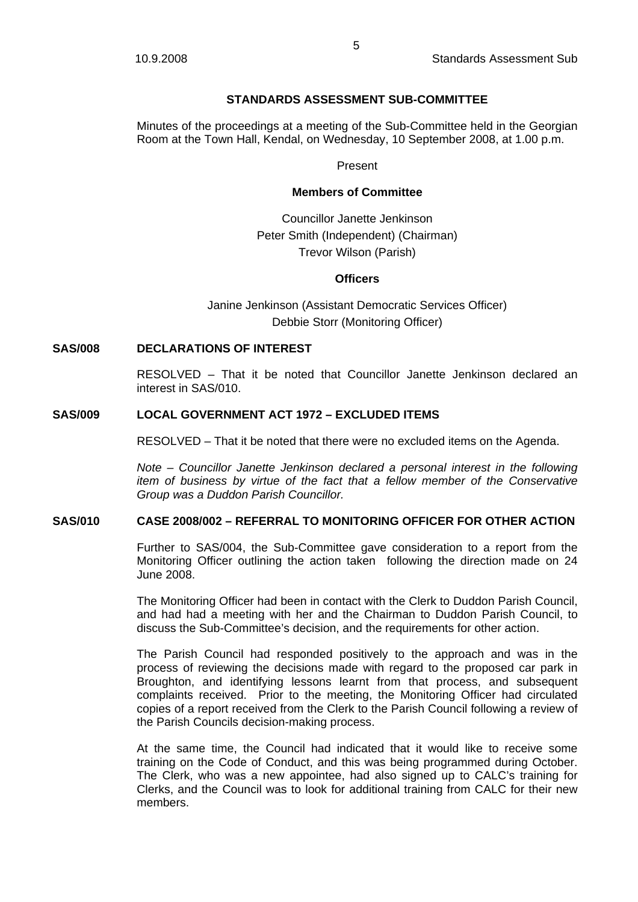## **STANDARDS ASSESSMENT SUB-COMMITTEE**

Minutes of the proceedings at a meeting of the Sub-Committee held in the Georgian Room at the Town Hall, Kendal, on Wednesday, 10 September 2008, at 1.00 p.m.

#### Present

### **Members of Committee**

Councillor Janette Jenkinson Peter Smith (Independent) (Chairman) Trevor Wilson (Parish)

#### **Officers**

Janine Jenkinson (Assistant Democratic Services Officer) Debbie Storr (Monitoring Officer)

## **SAS/008 DECLARATIONS OF INTEREST**

RESOLVED – That it be noted that Councillor Janette Jenkinson declared an interest in SAS/010.

## **SAS/009 LOCAL GOVERNMENT ACT 1972 – EXCLUDED ITEMS**

RESOLVED – That it be noted that there were no excluded items on the Agenda.

*Note – Councillor Janette Jenkinson declared a personal interest in the following item of business by virtue of the fact that a fellow member of the Conservative Group was a Duddon Parish Councillor.* 

# **SAS/010 CASE 2008/002 – REFERRAL TO MONITORING OFFICER FOR OTHER ACTION**

Further to SAS/004, the Sub-Committee gave consideration to a report from the Monitoring Officer outlining the action taken following the direction made on 24 June 2008.

The Monitoring Officer had been in contact with the Clerk to Duddon Parish Council, and had had a meeting with her and the Chairman to Duddon Parish Council, to discuss the Sub-Committee's decision, and the requirements for other action.

The Parish Council had responded positively to the approach and was in the process of reviewing the decisions made with regard to the proposed car park in Broughton, and identifying lessons learnt from that process, and subsequent complaints received. Prior to the meeting, the Monitoring Officer had circulated copies of a report received from the Clerk to the Parish Council following a review of the Parish Councils decision-making process.

At the same time, the Council had indicated that it would like to receive some training on the Code of Conduct, and this was being programmed during October. The Clerk, who was a new appointee, had also signed up to CALC's training for Clerks, and the Council was to look for additional training from CALC for their new members.